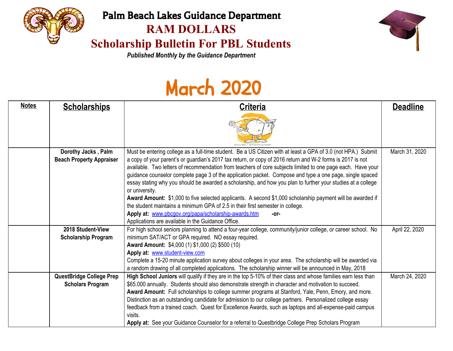

## Palm Beach Lakes Guidance Department **RAM DOLLARS**

## **Scholarship Bulletin For PBL Students**



*Published Monthly by the Guidance Department*

# March 2020

| <b>Notes</b> | <b>Scholarships</b>                                        | <b>Criteria</b>                                                                                                                                                                                                                                                                                                                                                                                                                                                                                                                                                                                                                                                                                                                                                                                                                                                                                                | <b>Deadline</b> |
|--------------|------------------------------------------------------------|----------------------------------------------------------------------------------------------------------------------------------------------------------------------------------------------------------------------------------------------------------------------------------------------------------------------------------------------------------------------------------------------------------------------------------------------------------------------------------------------------------------------------------------------------------------------------------------------------------------------------------------------------------------------------------------------------------------------------------------------------------------------------------------------------------------------------------------------------------------------------------------------------------------|-----------------|
|              |                                                            |                                                                                                                                                                                                                                                                                                                                                                                                                                                                                                                                                                                                                                                                                                                                                                                                                                                                                                                |                 |
|              | Dorothy Jacks, Palm<br><b>Beach Property Appraiser</b>     | Must be entering college as a full-time student. Be a US Citizen with at least a GPA of 3.0 (not HPA.) Submit<br>a copy of your parent's or guardian's 2017 tax return, or copy of 2016 return and W-2 forms is 2017 is not<br>available. Two letters of recommendation from teachers of core subjects limited to one page each. Have your<br>guidance counselor complete page 3 of the application packet. Compose and type a one page, single spaced<br>essay stating why you should be awarded a scholarship, and how you plan to further your studies at a college<br>or university.<br>Award Amount: \$1,000 to five selected applicants. A second \$1,000 scholarship payment will be awarded if<br>the student maintains a minimum GPA of 2.5 in their first semester in college.<br>Apply at: www.pbcgov.org/papa/scholarship-awards.htm<br>-or-<br>Applications are available in the Guidance Office. | March 31, 2020  |
|              | 2018 Student-View<br><b>Scholarship Program</b>            | For high school seniors planning to attend a four-year college, community/junior college, or career school. No<br>minimum SAT/ACT or GPA required. NO essay required.<br>Award Amount: \$4,000 (1) \$1,000 (2) \$500 (10)<br>Apply at: www.student-view.com<br>Complete a 15-20 minute application survey about colleges in your area. The scholarship will be awarded via<br>a random drawing of all completed applications. The scholarship winner will be announced in May, 2018                                                                                                                                                                                                                                                                                                                                                                                                                            | April 22, 2020  |
|              | <b>QuestBridge College Prep</b><br><b>Scholars Program</b> | High School Juniors will qualify if they are in the top 5-10% of their class and whose families earn less than<br>\$65.000 annually. Students should also demonstrate strength in character and motivation to succeed.<br>Award Amount: Full scholarships to college summer programs at Stanford, Yale, Penn, Emory, and more.<br>Distinction as an outstanding candidate for admission to our college partners. Personalized college essay<br>feedback from a trained coach. Quest for Excellence Awards, such as laptops and all-expense-paid campus<br>visits.<br>Apply at: See your Guidance Counselor for a referral to Questbridge College Prep Scholars Program                                                                                                                                                                                                                                         | March 24, 2020  |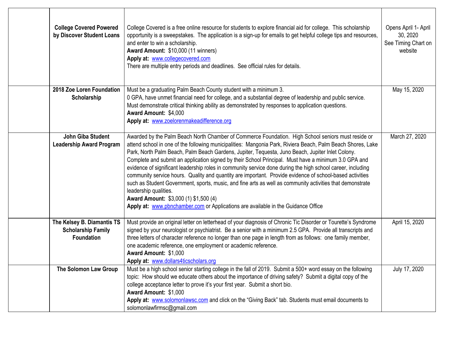| <b>College Covered Powered</b><br>by Discover Student Loans                  | College Covered is a free online resource for students to explore financial aid for college. This scholarship<br>opportunity is a sweepstakes. The application is a sign-up for emails to get helpful college tips and resources,<br>and enter to win a scholarship.<br>Award Amount: \$10,000 (11 winners)<br>Apply at: www.collegecovered.com<br>There are multiple entry periods and deadlines. See official rules for details.                                                                                                                                                                                                                                                                                                                                                                                                                                                                                           | Opens April 1- April<br>30, 2020<br>See Timing Chart on<br>website |
|------------------------------------------------------------------------------|------------------------------------------------------------------------------------------------------------------------------------------------------------------------------------------------------------------------------------------------------------------------------------------------------------------------------------------------------------------------------------------------------------------------------------------------------------------------------------------------------------------------------------------------------------------------------------------------------------------------------------------------------------------------------------------------------------------------------------------------------------------------------------------------------------------------------------------------------------------------------------------------------------------------------|--------------------------------------------------------------------|
| 2018 Zoe Loren Foundation<br>Scholarship                                     | Must be a graduating Palm Beach County student with a minimum 3.<br>0 GPA, have unmet financial need for college, and a substantial degree of leadership and public service.<br>Must demonstrate critical thinking ability as demonstrated by responses to application questions.<br>Award Amount: \$4,000<br>Apply at: www.zoelorenmakeadifference.org                                                                                                                                                                                                                                                                                                                                                                                                                                                                                                                                                                      | May 15, 2020                                                       |
| John Giba Student<br><b>Leadership Award Program</b>                         | Awarded by the Palm Beach North Chamber of Commerce Foundation. High School seniors must reside or<br>attend school in one of the following municipalities: Mangonia Park, Riviera Beach, Palm Beach Shores, Lake<br>Park, North Palm Beach, Palm Beach Gardens, Jupiter, Tequesta, Juno Beach, Jupiter Inlet Colony.<br>Complete and submit an application signed by their School Principal. Must have a minimum 3.0 GPA and<br>evidence of significant leadership roles in community service done during the high school career, including<br>community service hours. Quality and quantity are important. Provide evidence of school-based activities<br>such as Student Government, sports, music, and fine arts as well as community activities that demonstrate<br>leadership qualities.<br>Award Amount: \$3,000 (1) \$1,500 (4)<br>Apply at: www.phnchamber.com or Applications are available in the Guidance Office | March 27, 2020                                                     |
| The Kelsey B. Diamantis TS<br><b>Scholarship Family</b><br><b>Foundation</b> | Must provide an original letter on letterhead of your diagnosis of Chronic Tic Disorder or Tourette's Syndrome<br>signed by your neurologist or psychiatrist. Be a senior with a minimum 2.5 GPA. Provide all transcripts and<br>three letters of character reference no longer than one page in length from as follows: one family member,<br>one academic reference, one employment or academic reference.<br>Award Amount: \$1,000<br>Apply at: www.dollars4ticscholars.org                                                                                                                                                                                                                                                                                                                                                                                                                                               | April 15, 2020                                                     |
| The Solomon Law Group                                                        | Must be a high school senior starting college in the fall of 2019. Submit a 500+ word essay on the following<br>topic: How should we educate others about the importance of driving safety? Submit a digital copy of the<br>college acceptance letter to prove it's your first year. Submit a short bio.<br>Award Amount: \$1,000<br>Apply at: www.solomonlawsc.com and click on the "Giving Back" tab. Students must email documents to<br>solomonlawfirmsc@gmail.com                                                                                                                                                                                                                                                                                                                                                                                                                                                       | July 17, 2020                                                      |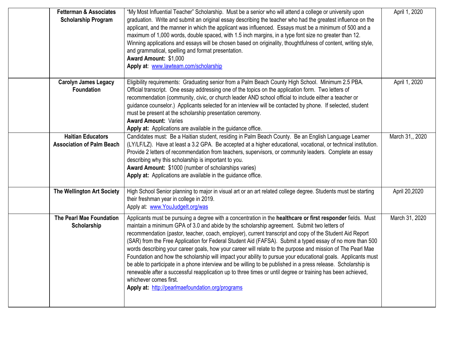| <b>Fetterman &amp; Associates</b><br><b>Scholarship Program</b> | "My Most Influential Teacher" Scholarship. Must be a senior who will attend a college or university upon<br>graduation. Write and submit an original essay describing the teacher who had the greatest influence on the<br>applicant, and the manner in which the applicant was influenced. Essays must be a minimum of 500 and a<br>maximum of 1,000 words, double spaced, with 1.5 inch margins, in a type font size no greater than 12.<br>Winning applications and essays will be chosen based on originality, thoughtfulness of content, writing style,<br>and grammatical, spelling and format presentation.<br>Award Amount: \$1,000<br>Apply at: www.lawteam.com/scholarship                                                                                                                                                                                                                                                                                              | April 1, 2020   |
|-----------------------------------------------------------------|-----------------------------------------------------------------------------------------------------------------------------------------------------------------------------------------------------------------------------------------------------------------------------------------------------------------------------------------------------------------------------------------------------------------------------------------------------------------------------------------------------------------------------------------------------------------------------------------------------------------------------------------------------------------------------------------------------------------------------------------------------------------------------------------------------------------------------------------------------------------------------------------------------------------------------------------------------------------------------------|-----------------|
| <b>Carolyn James Legacy</b><br><b>Foundation</b>                | Eligibility requirements: Graduating senior from a Palm Beach County High School. Minimum 2.5 PBA.<br>Official transcript. One essay addressing one of the topics on the application form. Two letters of<br>recommendation (community, civic, or church leader AND school official to include either a teacher or<br>guidance counselor.) Applicants selected for an interview will be contacted by phone. If selected, student<br>must be present at the scholarship presentation ceremony.<br><b>Award Amount: Varies</b><br>Apply at: Applications are available in the guidance office.                                                                                                                                                                                                                                                                                                                                                                                      | April 1, 2020   |
| <b>Haitian Educators</b><br><b>Association of Palm Beach</b>    | Candidates must: Be a Haitian student, residing in Palm Beach County. Be an English Language Learner<br>(LY/LF/LZ). Have at least a 3.2 GPA. Be accepted at a higher educational, vocational, or technical institution.<br>Provide 2 letters of recommendation from teachers, supervisors, or community leaders. Complete an essay<br>describing why this scholarship is important to you.<br>Award Amount: \$1000 (number of scholarships varies)<br>Apply at: Applications are available in the guidance office.                                                                                                                                                                                                                                                                                                                                                                                                                                                                | March 31,, 2020 |
| The Wellington Art Society                                      | High School Senior planning to major in visual art or an art related college degree. Students must be starting<br>their freshman year in college in 2019.<br>Apply at: www.YouJudgelt.org/was                                                                                                                                                                                                                                                                                                                                                                                                                                                                                                                                                                                                                                                                                                                                                                                     | April 20,2020   |
| <b>The Pearl Mae Foundation</b><br>Scholarship                  | Applicants must be pursuing a degree with a concentration in the healthcare or first responder fields. Must<br>maintain a minimum GPA of 3.0 and abide by the scholarship agreement. Submit two letters of<br>recommendation (pastor, teacher, coach, employer), current transcript and copy of the Student Aid Report<br>(SAR) from the Free Application for Federal Student Aid (FAFSA). Submit a typed essay of no more than 500<br>words describing your career goals, how your career will relate to the purpose and mission of The Pearl Mae<br>Foundation and how the scholarship will impact your ability to pursue your educational goals. Applicants must<br>be able to participate in a phone interview and be willing to be published in a press release. Scholarship is<br>renewable after a successful reapplication up to three times or until degree or training has been achieved,<br>whichever comes first.<br>Apply at: http://pearlmaefoundation.org/programs | March 31, 2020  |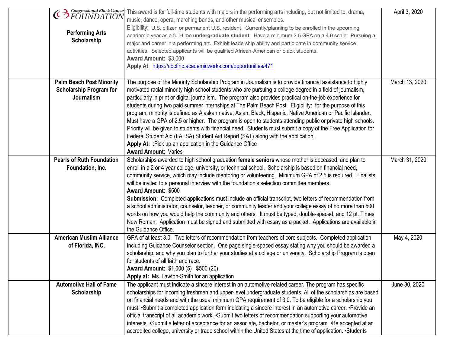| <b>CEN</b> Congressional Black Caucus | This award is for full-time students with majors in the performing arts including, but not limited to, drama,   | April 3, 2020  |
|---------------------------------------|-----------------------------------------------------------------------------------------------------------------|----------------|
|                                       | music, dance, opera, marching bands, and other musical ensembles.                                               |                |
| <b>Performing Arts</b>                | Eligibility: U.S. citizen or permanent U.S. resident. Currently/planning to be enrolled in the upcoming         |                |
| Scholarship                           | academic year as a full-time <i>undergraduate student</i> . Have a minimum 2.5 GPA on a 4.0 scale. Pursuing a   |                |
|                                       | major and career in a performing art. Exhibit leadership ability and participate in community service           |                |
|                                       | activities. Selected applicants will be qualified African-American or black students.                           |                |
|                                       | Award Amount: \$3,000                                                                                           |                |
|                                       | Apply At: https://cbcfinc.academicworks.com/opportunities/471                                                   |                |
|                                       |                                                                                                                 |                |
| <b>Palm Beach Post Minority</b>       | The purpose of the Minority Scholarship Program in Journalism is to provide financial assistance to highly      | March 13, 2020 |
| <b>Scholarship Program for</b>        | motivated racial minority high school students who are pursuing a college degree in a field of journalism,      |                |
| Journalism                            | particularly in print or digital journalism. The program also provides practical on-the-job experience for      |                |
|                                       | students during two paid summer internships at The Palm Beach Post. Eligibility: for the purpose of this        |                |
|                                       | program, minority is defined as Alaskan native, Asian, Black, Hispanic, Native American or Pacific Islander.    |                |
|                                       | Must have a GPA of 2.5 or higher. The program is open to students attending public or private high schools.     |                |
|                                       | Priority will be given to students with financial need. Students must submit a copy of the Free Application for |                |
|                                       | Federal Student Aid (FAFSA) Student Aid Report (SAT) along with the application.                                |                |
|                                       | Apply At: : Pick up an application in the Guidance Office                                                       |                |
|                                       | <b>Award Amount: Varies</b>                                                                                     |                |
| <b>Pearls of Ruth Foundation</b>      |                                                                                                                 |                |
|                                       | Scholarships awarded to high school graduation female seniors whose mother is deceased, and plan to             | March 31, 2020 |
| Foundation, Inc.                      | enroll in a 2 or 4 year college, university, or technical school. Scholarship is based on financial need,       |                |
|                                       | community service, which may include mentoring or volunteering. Minimum GPA of 2.5 is required. Finalists       |                |
|                                       | will be invited to a personal interview with the foundation's selection committee members.                      |                |
|                                       | <b>Award Amount: \$500</b>                                                                                      |                |
|                                       | Submission: Completed applications must include an official transcript, two letters of recommendation from      |                |
|                                       | a school administrator, counselor, teacher, or community leader and your college essay of no more than 500      |                |
|                                       | words on how you would help the community and others. It must be typed, double-spaced, and 12 pt. Times         |                |
|                                       | New Roman. Application must be signed and submitted with essay as a packet. Applications are available in       |                |
|                                       | the Guidance Office.                                                                                            |                |
| <b>American Muslim Alliance</b>       | GPA of at least 3.0. Two letters of recommendation from teachers of core subjects. Completed application        | May 4, 2020    |
| of Florida, INC.                      | including Guidance Counselor section. One page single-spaced essay stating why you should be awarded a          |                |
|                                       | scholarship, and why you plan to further your studies at a college or university. Scholarship Program is open   |                |
|                                       | for students of all faith and race.                                                                             |                |
|                                       | <b>Award Amount: \$1,000 (5) \$500 (20)</b>                                                                     |                |
|                                       | Apply at: Ms. Lawton-Smith for an application                                                                   |                |
| <b>Automotive Hall of Fame</b>        | The applicant must indicate a sincere interest in an automotive related career. The program has specific        | June 30, 2020  |
| Scholarship                           | scholarships for incoming freshmen and upper-level undergraduate students. All of the scholarships are based    |                |
|                                       | on financial needs and with the usual minimum GPA requirement of 3.0. To be eligible for a scholarship you      |                |
|                                       | must: •Submit a completed application form indicating a sincere interest in an automotive career. •Provide an   |                |
|                                       | official transcript of all academic work. • Submit two letters of recommendation supporting your automotive     |                |
|                                       | interests. •Submit a letter of acceptance for an associate, bachelor, or master's program. •Be accepted at an   |                |
|                                       | accredited college, university or trade school within the United States at the time of application. • Students  |                |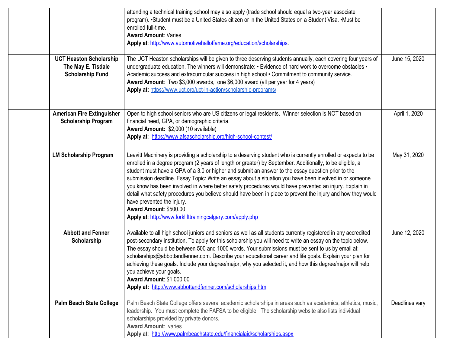|                                                                                 | attending a technical training school may also apply (trade school should equal a two-year associate<br>program). •Student must be a United States citizen or in the United States on a Student Visa. •Must be<br>enrolled full-time.<br><b>Award Amount: Varies</b><br>Apply at: http://www.automotivehalloffame.org/education/scholarships.                                                                                                                                                                                                                                                                                                                                                                                                                                                 |                |
|---------------------------------------------------------------------------------|-----------------------------------------------------------------------------------------------------------------------------------------------------------------------------------------------------------------------------------------------------------------------------------------------------------------------------------------------------------------------------------------------------------------------------------------------------------------------------------------------------------------------------------------------------------------------------------------------------------------------------------------------------------------------------------------------------------------------------------------------------------------------------------------------|----------------|
| <b>UCT Heaston Scholarship</b><br>The May E. Tisdale<br><b>Scholarship Fund</b> | The UCT Heaston scholarships will be given to three deserving students annually, each covering four years of<br>undergraduate education. The winners will demonstrate: • Evidence of hard work to overcome obstacles •<br>Academic success and extracurricular success in high school • Commitment to community service.<br>Award Amount: Two \$3,000 awards, one \$6,000 award (all per year for 4 years)<br>Apply at: https://www.uct.org/uct-in-action/scholarship-programs/                                                                                                                                                                                                                                                                                                               | June 15, 2020  |
| <b>American Fire Extinguisher</b><br><b>Scholarship Program</b>                 | Open to high school seniors who are US citizens or legal residents. Winner selection is NOT based on<br>financial need, GPA, or demographic criteria.<br>Award Amount: \$2,000 (10 available)<br>Apply at: https://www.afsascholarship.org/high-school-contest/                                                                                                                                                                                                                                                                                                                                                                                                                                                                                                                               | April 1, 2020  |
| <b>LM Scholarship Program</b>                                                   | Leavitt Machinery is providing a scholarship to a deserving student who is currently enrolled or expects to be<br>enrolled in a degree program (2 years of length or greater) by September. Additionally, to be eligible, a<br>student must have a GPA of a 3.0 or higher and submit an answer to the essay question prior to the<br>submission deadline. Essay Topic: Write an essay about a situation you have been involved in or someone<br>you know has been involved in where better safety procedures would have prevented an injury. Explain in<br>detail what safety procedures you believe should have been in place to prevent the injury and how they would<br>have prevented the injury.<br>Award Amount: \$500.00<br>Apply at: http://www.forklifttrainingcalgary.com/apply.php | May 31, 2020   |
| <b>Abbott and Fenner</b><br>Scholarship                                         | Available to all high school juniors and seniors as well as all students currently registered in any accredited<br>post-secondary institution. To apply for this scholarship you will need to write an essay on the topic below.<br>The essay should be between 500 and 1000 words. Your submissions must be sent to us by email at:<br>scholarships@abbottandfenner.com. Describe your educational career and life goals. Explain your plan for<br>achieving these goals. Include your degree/major, why you selected it, and how this degree/major will help<br>you achieve your goals.<br><b>Award Amount: \$1,000.00</b><br>Apply at: http://www.abbottandfenner.com/scholarships.htm                                                                                                     | June 12, 2020  |
| <b>Palm Beach State College</b>                                                 | Palm Beach State College offers several academic scholarships in areas such as academics, athletics, music,<br>leadership. You must complete the FAFSA to be eligible. The scholarship website also lists individual<br>scholarships provided by private donors.<br><b>Award Amount: varies</b><br>Apply at: http://www.palmbeachstate.edu/financialaid/scholarships.aspx                                                                                                                                                                                                                                                                                                                                                                                                                     | Deadlines vary |